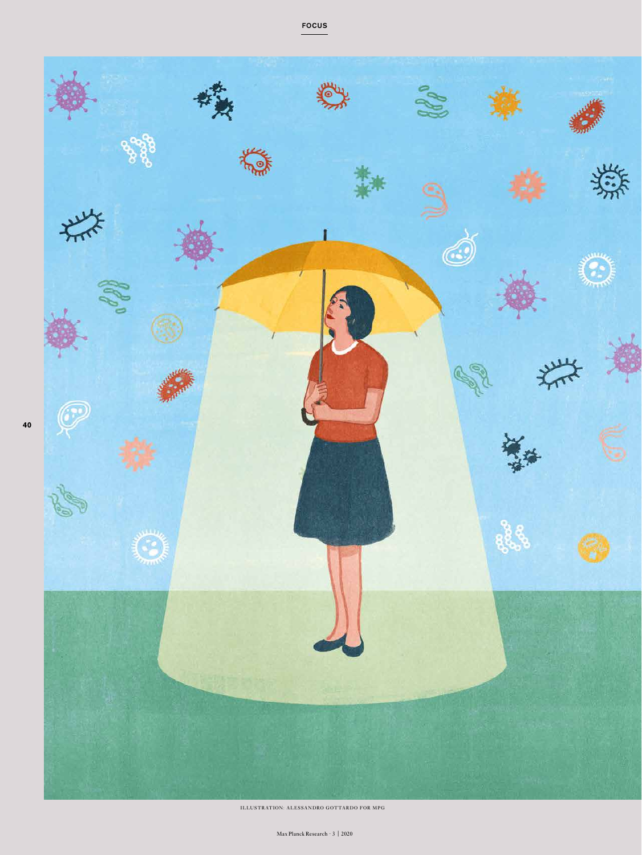

ILLUSTRATION: ALESSANDRO GOTTARDO FOR MPG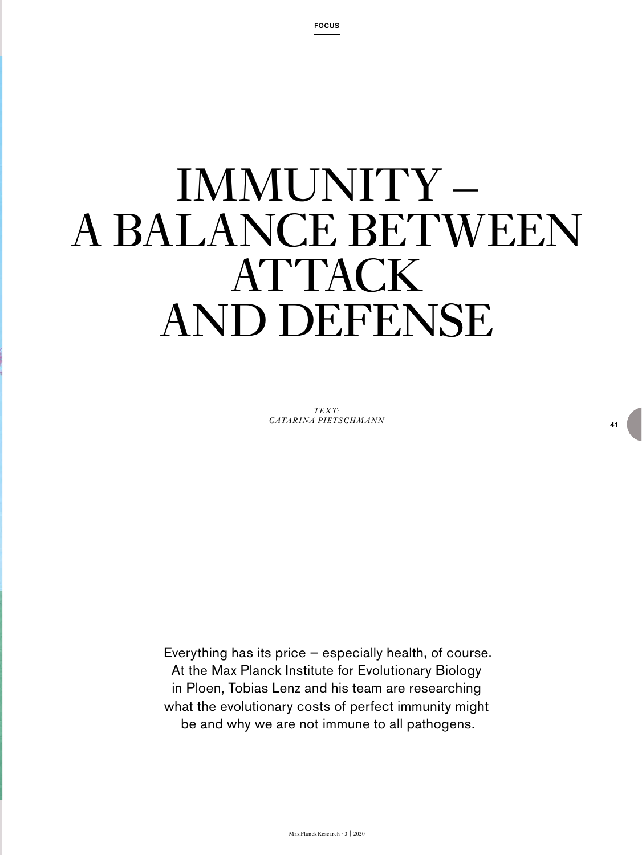# IMMUNITY – A BALANCE BETWEEN ATTACK AND DEFENSE

*TEXT: CATARINA PIETSCHMANN*

Everything has its price – especially health, of course. At the Max Planck Institute for Evolutionary Biology in Ploen, Tobias Lenz and his team are researching what the evolutionary costs of perfect immunity might be and why we are not immune to all pathogens.

**41**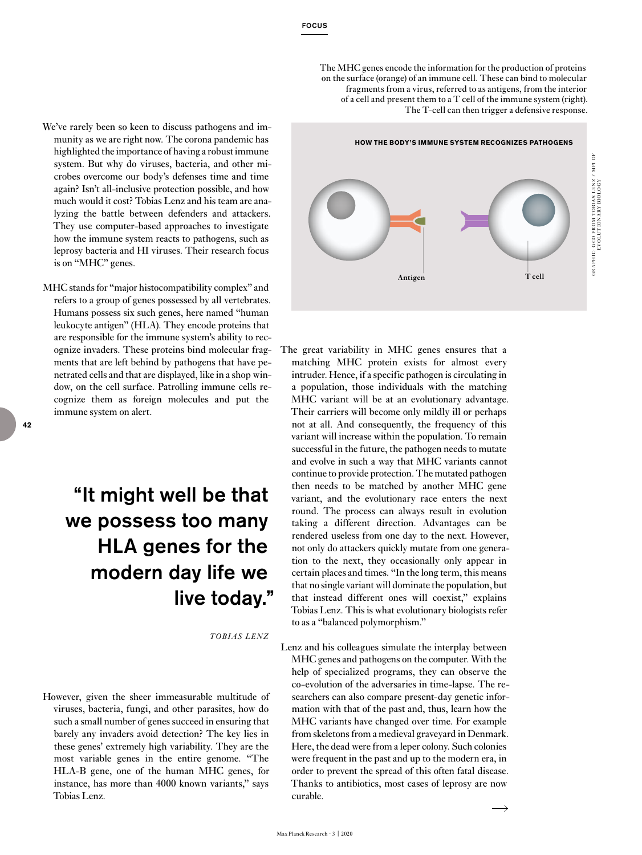The MHC genes encode the information for the production of proteins on the surface (orange) of an immune cell. These can bind to molecular fragments from a virus, referred to as antigens, from the interior of a cell and present them to a T cell of the immune system (right). The T-cell can then trigger a defensive response.

- We've rarely been so keen to discuss pathogens and immunity as we are right now. The corona pandemic has highlighted the importance of having a robust immune system. But why do viruses, bacteria, and other microbes overcome our body's defenses time and time again? Isn't all-inclusive protection possible, and how much would it cost? Tobias Lenz and his team are analyzing the battle between defenders and attackers. They use computer-based approaches to investigate how the immune system reacts to pathogens, such as leprosy bacteria and HI viruses. Their research focus is on "MHC" genes.
- MHC stands for "major histocompatibility complex" and refers to a group of genes possessed by all vertebrates. Humans possess six such genes, here named "human leukocyte antigen" (HLA). They encode proteins that are responsible for the immune system's ability to recognize invaders. These proteins bind molecular fragments that are left behind by pathogens that have penetrated cells and that are displayed, like in a shop window, on the cell surface. Patrolling immune cells recognize them as foreign molecules and put the immune system on alert.

# "It might well be that we possess too many HLA genes for the modern day life we live today."

*TOBIAS LENZ*

However, given the sheer immeasurable multitude of viruses, bacteria, fungi, and other parasites, how do such a small number of genes succeed in ensuring that barely any invaders avoid detection? The key lies in these genes' extremely high variability. They are the most variable genes in the entire genome. "The HLA-B gene, one of the human MHC genes, for instance, has more than 4000 known variants," says Tobias Lenz.



- The great variability in MHC genes ensures that a matching MHC protein exists for almost every intruder. Hence, if a specific pathogen is circulating in a population, those individuals with the matching MHC variant will be at an evolutionary advantage. Their carriers will become only mildly ill or perhaps not at all. And consequently, the frequency of this variant will increase within the population. To remain successful in the future, the pathogen needs to mutate and evolve in such a way that MHC variants cannot continue to provide protection. The mutated pathogen then needs to be matched by another MHC gene variant, and the evolutionary race enters the next round. The process can always result in evolution taking a different direction. Advantages can be rendered useless from one day to the next. However, not only do attackers quickly mutate from one generation to the next, they occasionally only appear in certain places and times. "In the long term, this means that no single variant will dominate the population, but that instead different ones will coexist," explains Tobias Lenz. This is what evolutionary biologists refer to as a "balanced polymorphism."
- Lenz and his colleagues simulate the interplay between MHC genes and pathogens on the computer. With the help of specialized programs, they can observe the co-evolution of the adversaries in time-lapse. The researchers can also compare present-day genetic information with that of the past and, thus, learn how the MHC variants have changed over time. For example from skeletons from a medieval graveyard in Denmark. Here, the dead were from a leper colony. Such colonies were frequent in the past and up to the modern era, in order to prevent the spread of this often fatal disease. Thanks to antibiotics, most cases of leprosy are now curable.

GR A PH IC: GCO FROM TOBI AS LENZ / M PI OF EVOLUTIONARY BIOLOGY

GRAPHIC: GCO FROM TOBIAS LENZ / MPI OF<br>EVOLUTIONARY BIOLOGY

Max Planck Research · 3 | 2020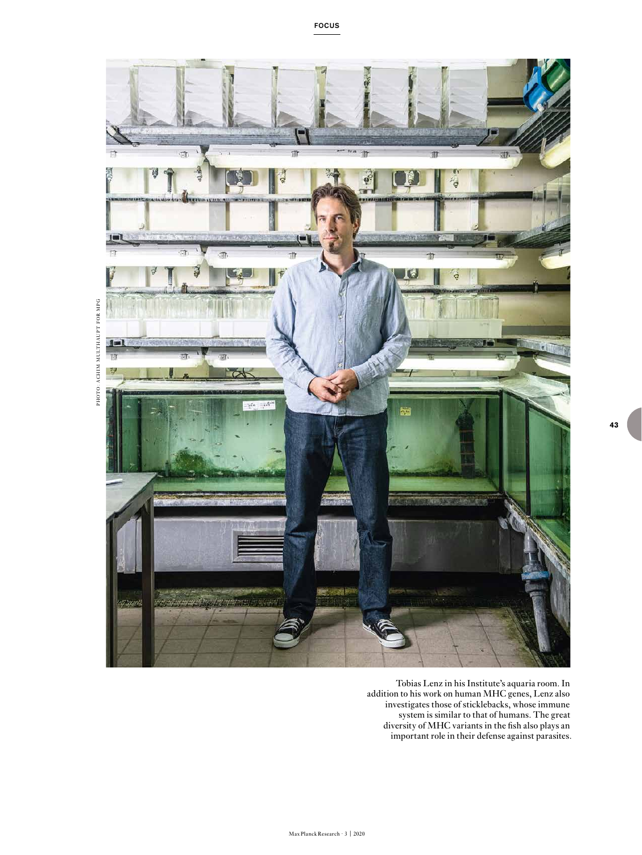

Tobias Lenz in his Institute's aquaria room. In addition to his work on human MHC genes, Lenz also investigates those of sticklebacks, whose immune system is similar to that of humans. The great diversity of MHC variants in the fish also plays an important role in their defense against parasites.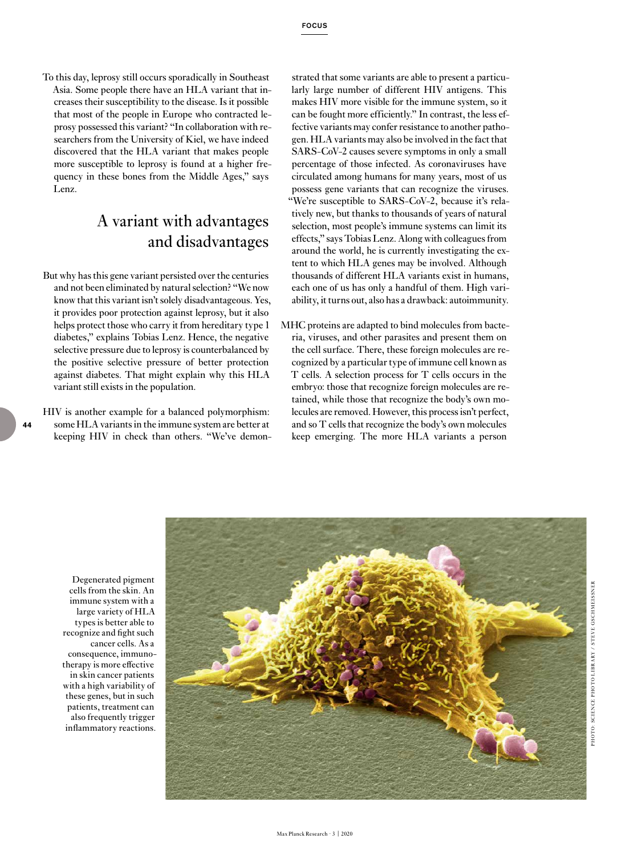To this day, leprosy still occurs sporadically in Southeast Asia. Some people there have an HLA variant that increases their susceptibility to the disease. Is it possible that most of the people in Europe who contracted leprosy possessed this variant? "In collaboration with researchers from the University of Kiel, we have indeed discovered that the HLA variant that makes people more susceptible to leprosy is found at a higher frequency in these bones from the Middle Ages," says Lenz.

## A variant with advantages and disadvantages

But why has this gene variant persisted over the centuries and not been eliminated by natural selection? "We now know that this variant isn't solely disadvantageous. Yes, it provides poor protection against leprosy, but it also helps protect those who carry it from hereditary type 1 diabetes," explains Tobias Lenz. Hence, the negative selective pressure due to leprosy is counterbalanced by the positive selective pressure of better protection against diabetes. That might explain why this HLA variant still exists in the population.

HIV is another example for a balanced polymorphism: some HLA variants in the immune system are better at keeping HIV in check than others. "We've demon-

strated that some variants are able to present a particularly large number of different HIV antigens. This makes HIV more visible for the immune system, so it can be fought more efficiently." In contrast, the less effective variants may confer resistance to another pathogen. HLA variants may also be involved in the fact that SARS-CoV-2 causes severe symptoms in only a small percentage of those infected. As coronaviruses have circulated among humans for many years, most of us possess gene variants that can recognize the viruses. "We're susceptible to SARS-CoV-2, because it's relatively new, but thanks to thousands of years of natural selection, most people's immune systems can limit its effects," says Tobias Lenz. Along with colleagues from around the world, he is currently investigating the extent to which HLA genes may be involved. Although thousands of different HLA variants exist in humans, each one of us has only a handful of them. High variability, it turns out, also has a drawback: autoimmunity.

MHC proteins are adapted to bind molecules from bacteria, viruses, and other parasites and present them on the cell surface. There, these foreign molecules are recognized by a particular type of immune cell known as T cells. A selection process for T cells occurs in the embryo: those that recognize foreign molecules are retained, while those that recognize the body's own molecules are removed. However, this process isn't perfect, and so T cells that recognize the body's own molecules keep emerging. The more HLA variants a person

Degenerated pigment cells from the skin. An immune system with a large variety of HLA types is better able to recognize and fight such cancer cells. As a consequence, immunotherapy is more effective in skin cancer patients with a high variability of these genes, but in such patients, treatment can also frequently trigger inflammatory reactions.

**44**



Max Planck Research · 3 | 2020